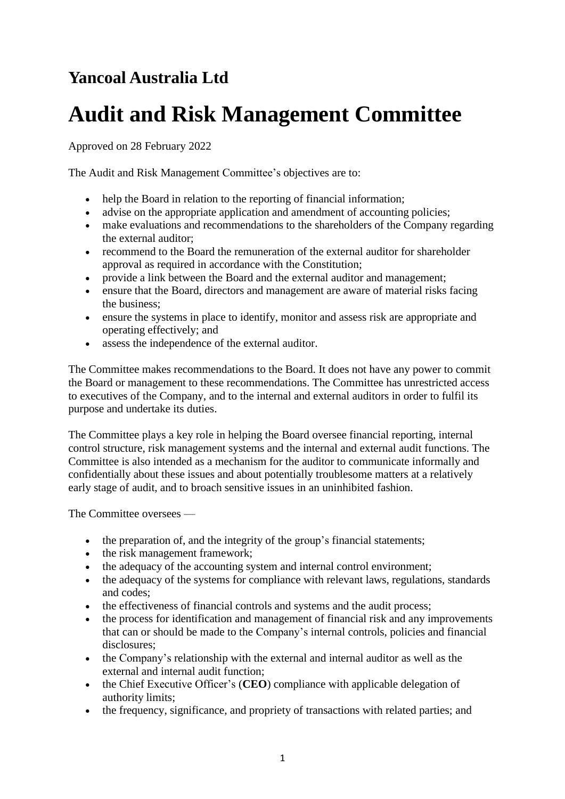# **Yancoal Australia Ltd**

# **Audit and Risk Management Committee**

Approved on 28 February 2022

The Audit and Risk Management Committee's objectives are to:

- help the Board in relation to the reporting of financial information;
- advise on the appropriate application and amendment of accounting policies;
- make evaluations and recommendations to the shareholders of the Company regarding the external auditor;
- recommend to the Board the remuneration of the external auditor for shareholder approval as required in accordance with the Constitution;
- provide a link between the Board and the external auditor and management;
- ensure that the Board, directors and management are aware of material risks facing the business;
- ensure the systems in place to identify, monitor and assess risk are appropriate and operating effectively; and
- assess the independence of the external auditor.

The Committee makes recommendations to the Board. It does not have any power to commit the Board or management to these recommendations. The Committee has unrestricted access to executives of the Company, and to the internal and external auditors in order to fulfil its purpose and undertake its duties.

The Committee plays a key role in helping the Board oversee financial reporting, internal control structure, risk management systems and the internal and external audit functions. The Committee is also intended as a mechanism for the auditor to communicate informally and confidentially about these issues and about potentially troublesome matters at a relatively early stage of audit, and to broach sensitive issues in an uninhibited fashion.

The Committee oversees —

- the preparation of, and the integrity of the group's financial statements;
- the risk management framework;
- the adequacy of the accounting system and internal control environment;
- the adequacy of the systems for compliance with relevant laws, regulations, standards and codes;
- the effectiveness of financial controls and systems and the audit process;
- the process for identification and management of financial risk and any improvements that can or should be made to the Company's internal controls, policies and financial disclosures;
- the Company's relationship with the external and internal auditor as well as the external and internal audit function;
- the Chief Executive Officer's (**CEO**) compliance with applicable delegation of authority limits;
- the frequency, significance, and propriety of transactions with related parties; and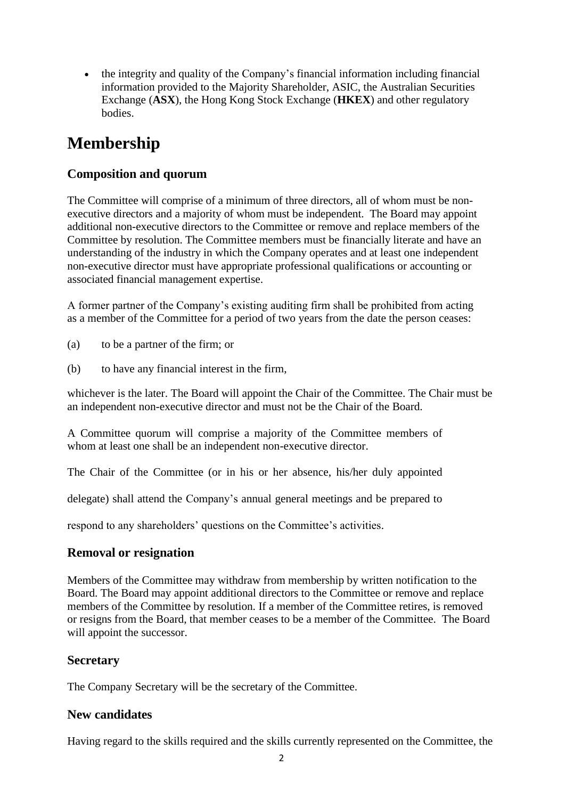• the integrity and quality of the Company's financial information including financial information provided to the Majority Shareholder, ASIC, the Australian Securities Exchange (**ASX**), the Hong Kong Stock Exchange (**HKEX**) and other regulatory bodies.

## **Membership**

### **Composition and quorum**

The Committee will comprise of a minimum of three directors, all of whom must be nonexecutive directors and a majority of whom must be independent. The Board may appoint additional non-executive directors to the Committee or remove and replace members of the Committee by resolution. The Committee members must be financially literate and have an understanding of the industry in which the Company operates and at least one independent non-executive director must have appropriate professional qualifications or accounting or associated financial management expertise.

A former partner of the Company's existing auditing firm shall be prohibited from acting as a member of the Committee for a period of two years from the date the person ceases:

- (a) to be a partner of the firm; or
- (b) to have any financial interest in the firm,

whichever is the later. The Board will appoint the Chair of the Committee. The Chair must be an independent non-executive director and must not be the Chair of the Board.

A Committee quorum will comprise a majority of the Committee members of whom at least one shall be an independent non-executive director.

The Chair of the Committee (or in his or her absence, his/her duly appointed

delegate) shall attend the Company's annual general meetings and be prepared to

respond to any shareholders' questions on the Committee's activities.

#### **Removal or resignation**

Members of the Committee may withdraw from membership by written notification to the Board. The Board may appoint additional directors to the Committee or remove and replace members of the Committee by resolution. If a member of the Committee retires, is removed or resigns from the Board, that member ceases to be a member of the Committee. The Board will appoint the successor.

#### **Secretary**

The Company Secretary will be the secretary of the Committee.

#### **New candidates**

Having regard to the skills required and the skills currently represented on the Committee, the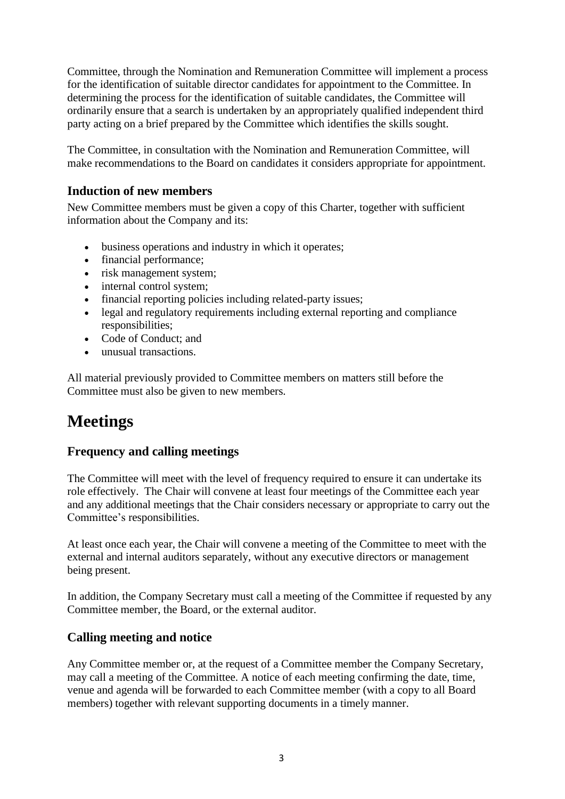Committee, through the Nomination and Remuneration Committee will implement a process for the identification of suitable director candidates for appointment to the Committee. In determining the process for the identification of suitable candidates, the Committee will ordinarily ensure that a search is undertaken by an appropriately qualified independent third party acting on a brief prepared by the Committee which identifies the skills sought.

The Committee, in consultation with the Nomination and Remuneration Committee, will make recommendations to the Board on candidates it considers appropriate for appointment.

#### **Induction of new members**

New Committee members must be given a copy of this Charter, together with sufficient information about the Company and its:

- business operations and industry in which it operates;
- financial performance;
- risk management system;
- internal control system:
- financial reporting policies including related-party issues;
- legal and regulatory requirements including external reporting and compliance responsibilities;
- Code of Conduct: and
- unusual transactions.

All material previously provided to Committee members on matters still before the Committee must also be given to new members.

### **Meetings**

#### **Frequency and calling meetings**

The Committee will meet with the level of frequency required to ensure it can undertake its role effectively. The Chair will convene at least four meetings of the Committee each year and any additional meetings that the Chair considers necessary or appropriate to carry out the Committee's responsibilities.

At least once each year, the Chair will convene a meeting of the Committee to meet with the external and internal auditors separately, without any executive directors or management being present.

In addition, the Company Secretary must call a meeting of the Committee if requested by any Committee member, the Board, or the external auditor.

#### **Calling meeting and notice**

Any Committee member or, at the request of a Committee member the Company Secretary, may call a meeting of the Committee. A notice of each meeting confirming the date, time, venue and agenda will be forwarded to each Committee member (with a copy to all Board members) together with relevant supporting documents in a timely manner.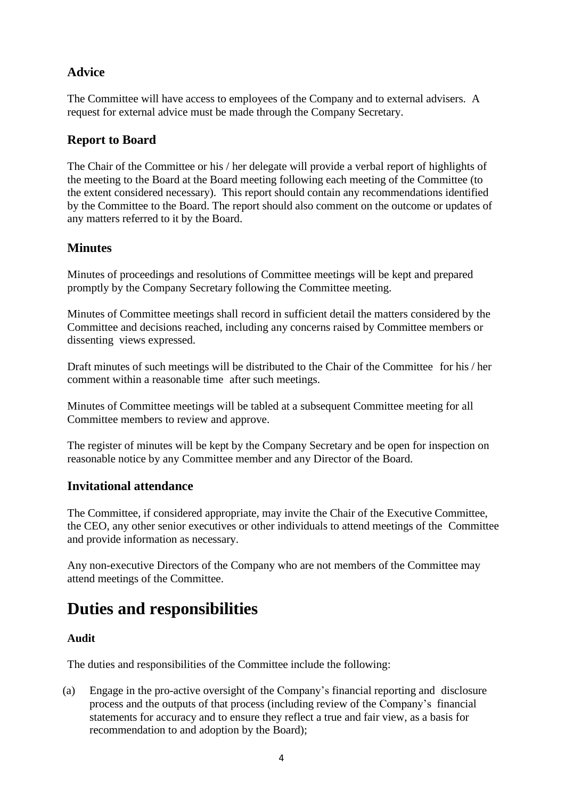### **Advice**

The Committee will have access to employees of the Company and to external advisers. A request for external advice must be made through the Company Secretary.

#### **Report to Board**

The Chair of the Committee or his / her delegate will provide a verbal report of highlights of the meeting to the Board at the Board meeting following each meeting of the Committee (to the extent considered necessary). This report should contain any recommendations identified by the Committee to the Board. The report should also comment on the outcome or updates of any matters referred to it by the Board.

#### **Minutes**

Minutes of proceedings and resolutions of Committee meetings will be kept and prepared promptly by the Company Secretary following the Committee meeting.

Minutes of Committee meetings shall record in sufficient detail the matters considered by the Committee and decisions reached, including any concerns raised by Committee members or dissenting views expressed.

Draft minutes of such meetings will be distributed to the Chair of the Committee for his / her comment within a reasonable time after such meetings.

Minutes of Committee meetings will be tabled at a subsequent Committee meeting for all Committee members to review and approve.

The register of minutes will be kept by the Company Secretary and be open for inspection on reasonable notice by any Committee member and any Director of the Board.

#### **Invitational attendance**

The Committee, if considered appropriate, may invite the Chair of the Executive Committee, the CEO, any other senior executives or other individuals to attend meetings of the Committee and provide information as necessary.

Any non-executive Directors of the Company who are not members of the Committee may attend meetings of the Committee.

### **Duties and responsibilities**

#### **Audit**

The duties and responsibilities of the Committee include the following:

(a) Engage in the pro-active oversight of the Company's financial reporting and disclosure process and the outputs of that process (including review of the Company's financial statements for accuracy and to ensure they reflect a true and fair view, as a basis for recommendation to and adoption by the Board);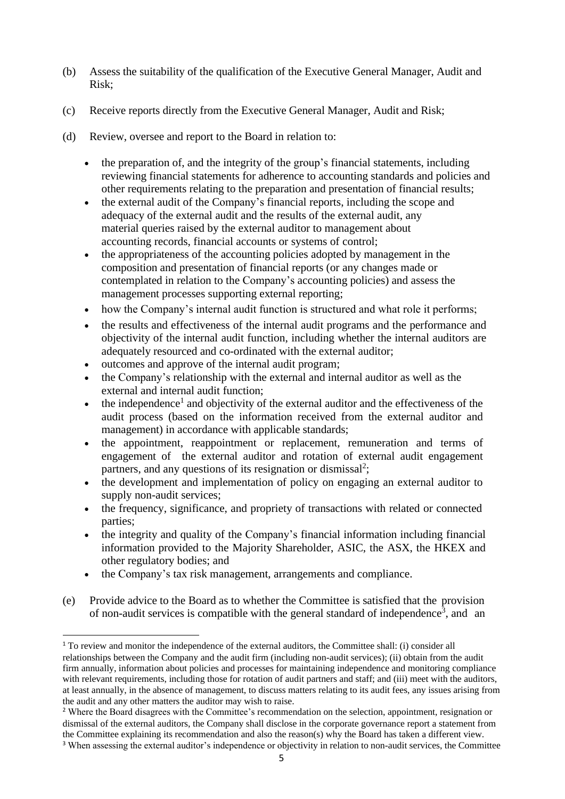- (b) Assess the suitability of the qualification of the Executive General Manager, Audit and Risk;
- (c) Receive reports directly from the Executive General Manager, Audit and Risk;
- (d) Review, oversee and report to the Board in relation to:
	- the preparation of, and the integrity of the group's financial statements, including reviewing financial statements for adherence to accounting standards and policies and other requirements relating to the preparation and presentation of financial results;
	- the external audit of the Company's financial reports, including the scope and adequacy of the external audit and the results of the external audit, any material queries raised by the external auditor to management about accounting records, financial accounts or systems of control;
	- the appropriateness of the accounting policies adopted by management in the composition and presentation of financial reports (or any changes made or contemplated in relation to the Company's accounting policies) and assess the management processes supporting external reporting;
	- how the Company's internal audit function is structured and what role it performs;
	- the results and effectiveness of the internal audit programs and the performance and objectivity of the internal audit function, including whether the internal auditors are adequately resourced and co-ordinated with the external auditor;
	- outcomes and approve of the internal audit program;
	- the Company's relationship with the external and internal auditor as well as the external and internal audit function;
	- $\bullet$  the independence<sup>1</sup> and objectivity of the external auditor and the effectiveness of the audit process (based on the information received from the external auditor and management) in accordance with applicable standards;
	- the appointment, reappointment or replacement, remuneration and terms of engagement of the external auditor and rotation of external audit engagement partners, and any questions of its resignation or dismissal<sup>2</sup>;
	- the development and implementation of policy on engaging an external auditor to supply non-audit services;
	- the frequency, significance, and propriety of transactions with related or connected parties;
	- the integrity and quality of the Company's financial information including financial information provided to the Majority Shareholder, ASIC, the ASX, the HKEX and other regulatory bodies; and
	- the Company's tax risk management, arrangements and compliance.
- (e) Provide advice to the Board as to whether the Committee is satisfied that the provision of non-audit services is compatible with the general standard of independence<sup>3</sup>, and an

<sup>&</sup>lt;sup>1</sup> To review and monitor the independence of the external auditors, the Committee shall: (i) consider all relationships between the Company and the audit firm (including non-audit services); (ii) obtain from the audit firm annually, information about policies and processes for maintaining independence and monitoring compliance with relevant requirements, including those for rotation of audit partners and staff; and (iii) meet with the auditors, at least annually, in the absence of management, to discuss matters relating to its audit fees, any issues arising from the audit and any other matters the auditor may wish to raise.

<sup>&</sup>lt;sup>2</sup> Where the Board disagrees with the Committee's recommendation on the selection, appointment, resignation or dismissal of the external auditors, the Company shall disclose in the corporate governance report a statement from the Committee explaining its recommendation and also the reason(s) why the Board has taken a different view. <sup>3</sup> When assessing the external auditor's independence or objectivity in relation to non-audit services, the Committee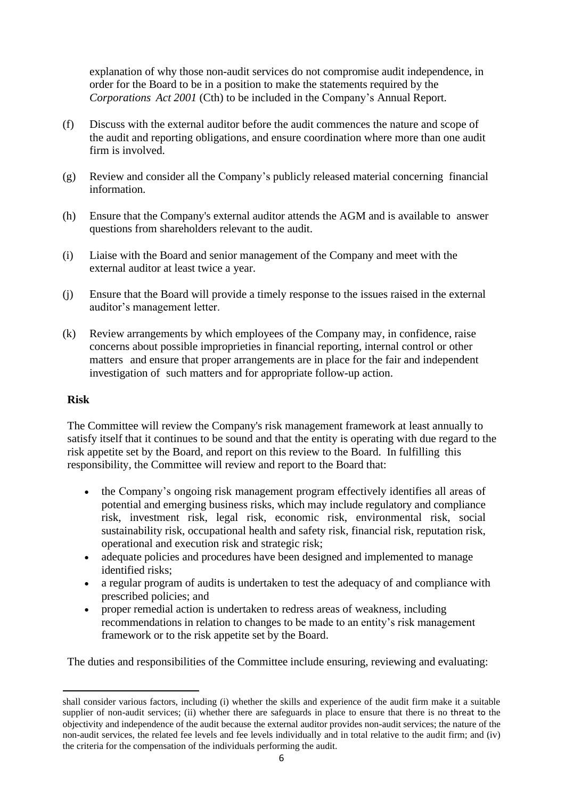explanation of why those non-audit services do not compromise audit independence, in order for the Board to be in a position to make the statements required by the *Corporations Act 2001* (Cth) to be included in the Company's Annual Report.

- (f) Discuss with the external auditor before the audit commences the nature and scope of the audit and reporting obligations, and ensure coordination where more than one audit firm is involved.
- (g) Review and consider all the Company's publicly released material concerning financial information.
- (h) Ensure that the Company's external auditor attends the AGM and is available to answer questions from shareholders relevant to the audit.
- (i) Liaise with the Board and senior management of the Company and meet with the external auditor at least twice a year.
- (j) Ensure that the Board will provide a timely response to the issues raised in the external auditor's management letter.
- (k) Review arrangements by which employees of the Company may, in confidence, raise concerns about possible improprieties in financial reporting, internal control or other matters and ensure that proper arrangements are in place for the fair and independent investigation of such matters and for appropriate follow-up action.

#### **Risk**

The Committee will review the Company's risk management framework at least annually to satisfy itself that it continues to be sound and that the entity is operating with due regard to the risk appetite set by the Board, and report on this review to the Board. In fulfilling this responsibility, the Committee will review and report to the Board that:

- the Company's ongoing risk management program effectively identifies all areas of potential and emerging business risks, which may include regulatory and compliance risk, investment risk, legal risk, economic risk, environmental risk, social sustainability risk, occupational health and safety risk, financial risk, reputation risk, operational and execution risk and strategic risk;
- adequate policies and procedures have been designed and implemented to manage identified risks;
- a regular program of audits is undertaken to test the adequacy of and compliance with prescribed policies; and
- proper remedial action is undertaken to redress areas of weakness, including recommendations in relation to changes to be made to an entity's risk management framework or to the risk appetite set by the Board.

The duties and responsibilities of the Committee include ensuring, reviewing and evaluating:

shall consider various factors, including (i) whether the skills and experience of the audit firm make it a suitable supplier of non-audit services; (ii) whether there are safeguards in place to ensure that there is no threat to the objectivity and independence of the audit because the external auditor provides non-audit services; the nature of the non-audit services, the related fee levels and fee levels individually and in total relative to the audit firm; and (iv) the criteria for the compensation of the individuals performing the audit.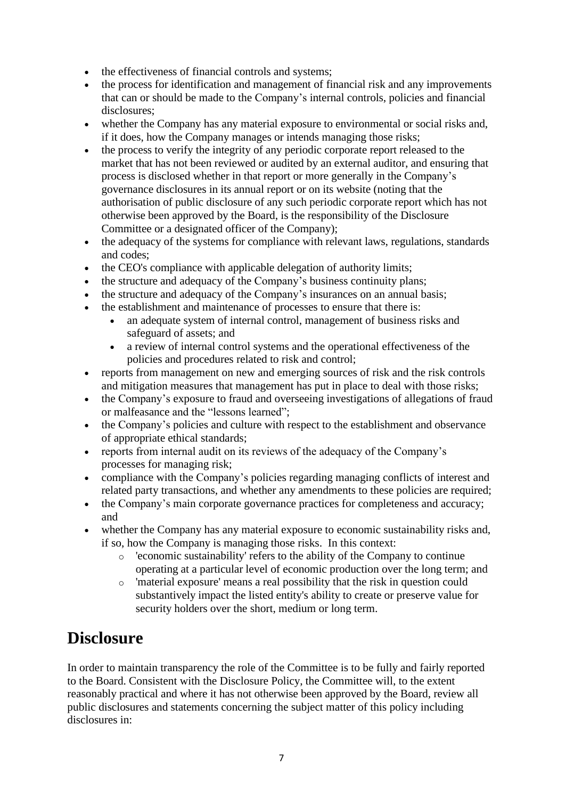- the effectiveness of financial controls and systems;
- the process for identification and management of financial risk and any improvements that can or should be made to the Company's internal controls, policies and financial disclosures;
- whether the Company has any material exposure to environmental or social risks and, if it does, how the Company manages or intends managing those risks;
- the process to verify the integrity of any periodic corporate report released to the market that has not been reviewed or audited by an external auditor, and ensuring that process is disclosed whether in that report or more generally in the Company's governance disclosures in its annual report or on its website (noting that the authorisation of public disclosure of any such periodic corporate report which has not otherwise been approved by the Board, is the responsibility of the Disclosure Committee or a designated officer of the Company);
- the adequacy of the systems for compliance with relevant laws, regulations, standards and codes;
- the CEO's compliance with applicable delegation of authority limits;
- the structure and adequacy of the Company's business continuity plans;
- the structure and adequacy of the Company's insurances on an annual basis;
- the establishment and maintenance of processes to ensure that there is:
	- an adequate system of internal control, management of business risks and safeguard of assets; and
	- a review of internal control systems and the operational effectiveness of the policies and procedures related to risk and control;
- reports from management on new and emerging sources of risk and the risk controls and mitigation measures that management has put in place to deal with those risks;
- the Company's exposure to fraud and overseeing investigations of allegations of fraud or malfeasance and the "lessons learned";
- the Company's policies and culture with respect to the establishment and observance of appropriate ethical standards;
- reports from internal audit on its reviews of the adequacy of the Company's processes for managing risk;
- compliance with the Company's policies regarding managing conflicts of interest and related party transactions, and whether any amendments to these policies are required;
- the Company's main corporate governance practices for completeness and accuracy; and
- whether the Company has any material exposure to economic sustainability risks and, if so, how the Company is managing those risks. In this context:
	- o 'economic sustainability' refers to the ability of the Company to continue operating at a particular level of economic production over the long term; and
	- o 'material exposure' means a real possibility that the risk in question could substantively impact the listed entity's ability to create or preserve value for security holders over the short, medium or long term.

### **Disclosure**

In order to maintain transparency the role of the Committee is to be fully and fairly reported to the Board. Consistent with the Disclosure Policy, the Committee will, to the extent reasonably practical and where it has not otherwise been approved by the Board, review all public disclosures and statements concerning the subject matter of this policy including disclosures in: